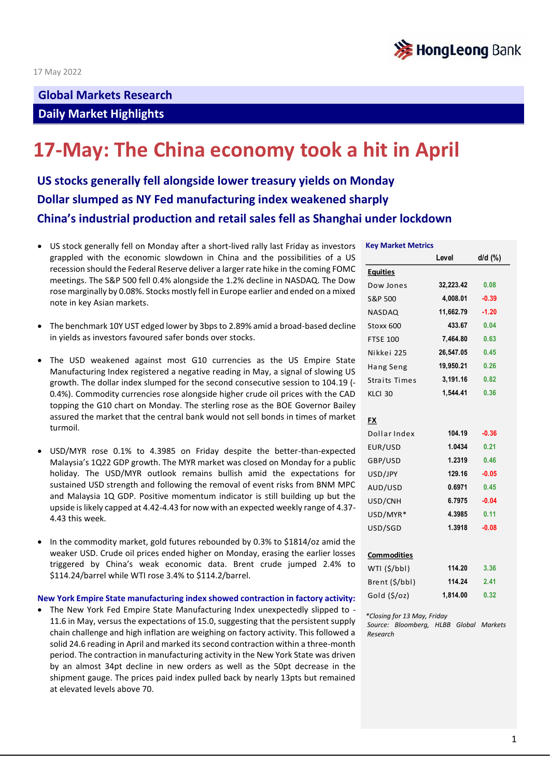

## **Global Markets Research Daily Market Highlights**

# **17-May: The China economy took a hit in April**

**US stocks generally fell alongside lower treasury yields on Monday Dollar slumped as NY Fed manufacturing index weakened sharply China's industrial production and retail sales fell as Shanghai under lockdown** 

- US stock generally fell on Monday after a short-lived rally last Friday as investors grappled with the economic slowdown in China and the possibilities of a US recession should the Federal Reserve deliver a larger rate hike in the coming FOMC meetings. The S&P 500 fell 0.4% alongside the 1.2% decline in NASDAQ. The Dow rose marginally by 0.08%. Stocks mostly fell in Europe earlier and ended on a mixed note in key Asian markets.
- The benchmark 10Y UST edged lower by 3bps to 2.89% amid a broad-based decline in yields as investors favoured safer bonds over stocks.
- The USD weakened against most G10 currencies as the US Empire State Manufacturing Index registered a negative reading in May, a signal of slowing US growth. The dollar index slumped for the second consecutive session to 104.19 (- 0.4%). Commodity currencies rose alongside higher crude oil prices with the CAD topping the G10 chart on Monday. The sterling rose as the BOE Governor Bailey assured the market that the central bank would not sell bonds in times of market turmoil.
- USD/MYR rose 0.1% to 4.3985 on Friday despite the better-than-expected Malaysia's 1Q22 GDP growth. The MYR market was closed on Monday for a public holiday. The USD/MYR outlook remains bullish amid the expectations for sustained USD strength and following the removal of event risks from BNM MPC and Malaysia 1Q GDP. Positive momentum indicator is still building up but the upside is likely capped at 4.42-4.43 for now with an expected weekly range of 4.37- 4.43 this week.
- In the commodity market, gold futures rebounded by 0.3% to \$1814/oz amid the weaker USD. Crude oil prices ended higher on Monday, erasing the earlier losses triggered by China's weak economic data. Brent crude jumped 2.4% to \$114.24/barrel while WTI rose 3.4% to \$114.2/barrel.

#### **New York Empire State manufacturing index showed contraction in factory activity:**

• The New York Fed Empire State Manufacturing Index unexpectedly slipped to - 11.6 in May, versus the expectations of 15.0, suggesting that the persistent supply chain challenge and high inflation are weighing on factory activity. This followed a solid 24.6 reading in April and marked its second contraction within a three-month period. The contraction in manufacturing activity in the New York State was driven by an almost 34pt decline in new orders as well as the 50pt decrease in the shipment gauge. The prices paid index pulled back by nearly 13pts but remained at elevated levels above 70.

#### **Key Market Metrics**

|                      | Level     | d/d (%) |
|----------------------|-----------|---------|
| <b>Equities</b>      |           |         |
| Dow Jones            | 32,223.42 | 0.08    |
| S&P 500              | 4,008.01  | $-0.39$ |
| <b>NASDAQ</b>        | 11,662.79 | $-1.20$ |
| Stoxx 600            | 433.67    | 0.04    |
| <b>FTSE 100</b>      | 7,464.80  | 0.63    |
| Nikkei 225           | 26,547.05 | 0.45    |
| Hang Seng            | 19,950.21 | 0.26    |
| <b>Straits Times</b> | 3,191.16  | 0.82    |
| KLCI 30              | 1,544.41  | 0.36    |
|                      |           |         |
| <b>FX</b>            |           |         |
| Dollar Index         | 104.19    | $-0.36$ |
| EUR/USD              | 1.0434    | 0.21    |
| GBP/USD              | 1.2319    | 0.46    |
| USD/JPY              | 129.16    | $-0.05$ |
| AUD/USD              | 0.6971    | 0.45    |
| USD/CNH              | 6.7975    | $-0.04$ |
| USD/MYR*             | 4.3985    | 0.11    |
| USD/SGD              | 1.3918    | $-0.08$ |
|                      |           |         |
| <b>Commodities</b>   |           |         |
| WTI (\$/bbl)         | 114.20    | 3.36    |
| Brent (\$/bbl)       | 114.24    | 2.41    |
| Gold (\$/oz)         | 1,814.00  | 0.32    |
|                      |           |         |

*\*Closing for 13 May, Friday Source: Bloomberg, HLBB Global Markets Research*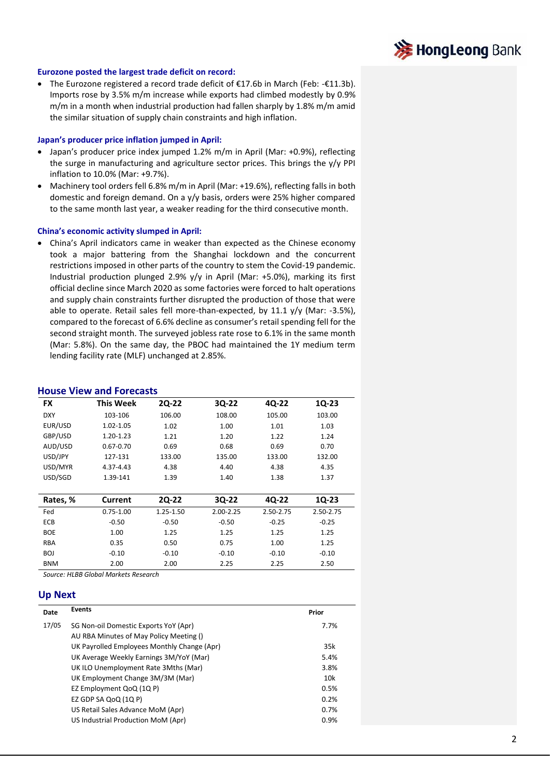

#### **Eurozone posted the largest trade deficit on record:**

• The Eurozone registered a record trade deficit of €17.6b in March (Feb: -€11.3b). Imports rose by 3.5% m/m increase while exports had climbed modestly by 0.9% m/m in a month when industrial production had fallen sharply by 1.8% m/m amid the similar situation of supply chain constraints and high inflation.

#### **Japan's producer price inflation jumped in April:**

- Japan's producer price index jumped 1.2% m/m in April (Mar: +0.9%), reflecting the surge in manufacturing and agriculture sector prices. This brings the y/y PPI inflation to 10.0% (Mar: +9.7%).
- Machinery tool orders fell 6.8% m/m in April (Mar: +19.6%), reflecting falls in both domestic and foreign demand. On a y/y basis, orders were 25% higher compared to the same month last year, a weaker reading for the third consecutive month.

#### **China's economic activity slumped in April:**

• China's April indicators came in weaker than expected as the Chinese economy took a major battering from the Shanghai lockdown and the concurrent restrictions imposed in other parts of the country to stem the Covid-19 pandemic. Industrial production plunged 2.9% y/y in April (Mar: +5.0%), marking its first official decline since March 2020 as some factories were forced to halt operations and supply chain constraints further disrupted the production of those that were able to operate. Retail sales fell more-than-expected, by 11.1  $v/v$  (Mar: -3.5%), compared to the forecast of 6.6% decline as consumer's retail spending fell for the second straight month. The surveyed jobless rate rose to 6.1% in the same month (Mar: 5.8%). On the same day, the PBOC had maintained the 1Y medium term lending facility rate (MLF) unchanged at 2.85%.

### **House View and Forecasts**

| <b>FX</b>  | <b>This Week</b> | <b>2Q-22</b> | 3Q-22     | 4Q-22     | 1Q-23     |
|------------|------------------|--------------|-----------|-----------|-----------|
| <b>DXY</b> | 103-106          | 106.00       | 108.00    | 105.00    | 103.00    |
| EUR/USD    | 1.02-1.05        | 1.02         | 1.00      | 1.01      | 1.03      |
| GBP/USD    | 1.20-1.23        | 1.21         | 1.20      | 1.22      | 1.24      |
| AUD/USD    | $0.67 - 0.70$    | 0.69         | 0.68      | 0.69      | 0.70      |
| USD/JPY    | 127-131          | 133.00       | 135.00    | 133.00    | 132.00    |
| USD/MYR    | 4.37-4.43        | 4.38         | 4.40      | 4.38      | 4.35      |
| USD/SGD    | 1.39-141         | 1.39         | 1.40      | 1.38      | 1.37      |
|            |                  |              |           |           |           |
| Rates, %   | Current          | <b>2Q-22</b> | 3Q-22     | 4Q-22     | 1Q-23     |
| Fed        | $0.75 - 1.00$    | 1.25-1.50    | 2.00-2.25 | 2.50-2.75 | 2.50-2.75 |
| <b>ECB</b> | $-0.50$          | $-0.50$      | $-0.50$   | $-0.25$   | $-0.25$   |
| <b>BOE</b> | 1.00             | 1.25         | 1.25      | 1.25      | 1.25      |
| <b>RBA</b> | 0.35             | 0.50         | 0.75      | 1.00      | 1.25      |
| <b>BOJ</b> | $-0.10$          | $-0.10$      | $-0.10$   | $-0.10$   | $-0.10$   |
| <b>BNM</b> | 2.00             | 2.00         | 2.25      | 2.25      | 2.50      |

*Source: HLBB Global Markets Research*

#### **Up Next**

| <b>Events</b>                               | Prior |
|---------------------------------------------|-------|
| SG Non-oil Domestic Exports YoY (Apr)       | 7.7%  |
| AU RBA Minutes of May Policy Meeting ()     |       |
| UK Payrolled Employees Monthly Change (Apr) | 35k   |
| UK Average Weekly Earnings 3M/YoY (Mar)     | 5.4%  |
| UK ILO Unemployment Rate 3Mths (Mar)        | 3.8%  |
| UK Employment Change 3M/3M (Mar)            | 10k   |
| EZ Employment QoQ (1Q P)                    | 0.5%  |
| EZ GDP SA QoQ $(1Q \text{ P})$              | 0.2%  |
| US Retail Sales Advance MoM (Apr)           | 0.7%  |
| US Industrial Production MoM (Apr)          | 0.9%  |
|                                             |       |